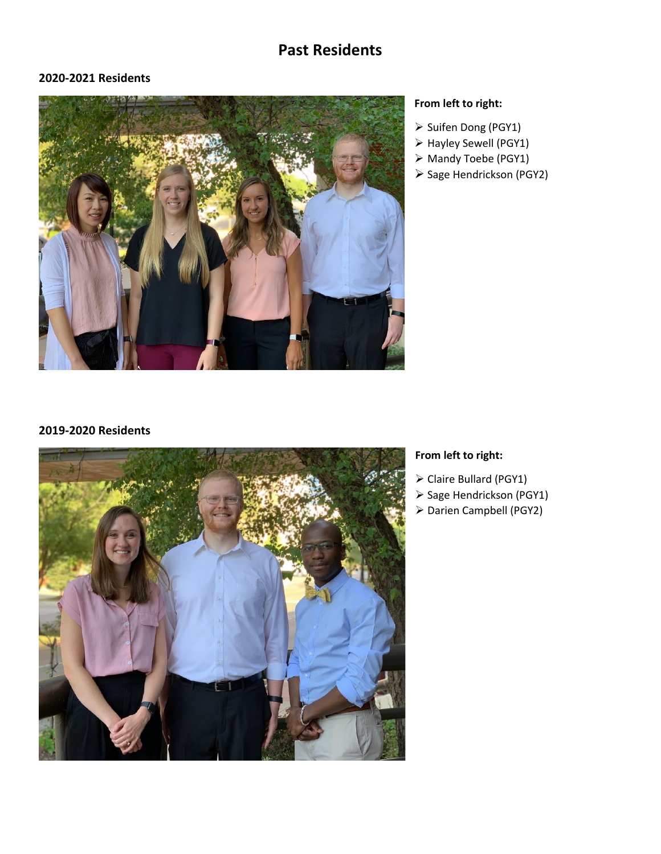# **Past Residents**

### **2020-2021 Residents**



### **From left to right:**

- ➢ Suifen Dong (PGY1)
- ➢ Hayley Sewell (PGY1)
- ➢ Mandy Toebe (PGY1)
- ➢ Sage Hendrickson (PGY2)

#### **2019-2020 Residents**



### **From left to right:**

- ➢ Claire Bullard (PGY1)
- ➢ Sage Hendrickson (PGY1)
- ➢ Darien Campbell (PGY2)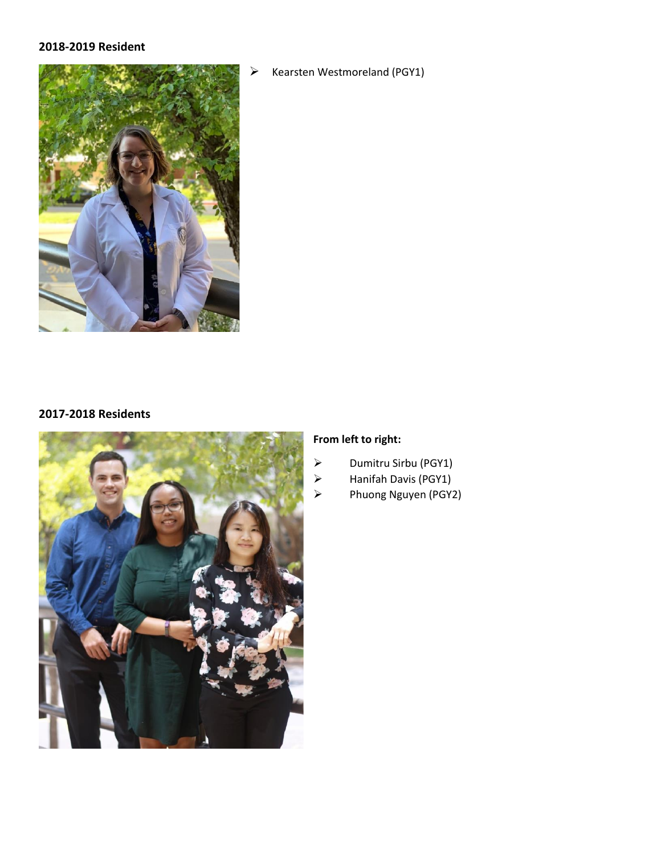#### **2018-2019 Resident**



➢ Kearsten Westmoreland (PGY1)

#### **2017-2018 Residents**



### **From left to right:**

- ➢ Dumitru Sirbu (PGY1)
- ➢ Hanifah Davis (PGY1)
- ➢ Phuong Nguyen (PGY2)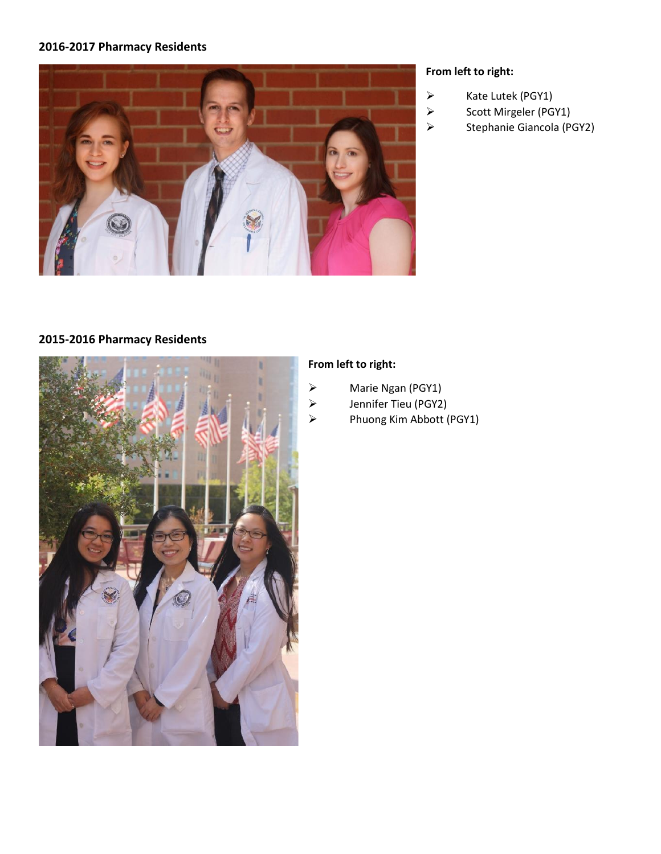### **2016-2017 Pharmacy Residents**



### **From left to right:**

- ➢ Kate Lutek (PGY1)
- ➢ Scott Mirgeler (PGY1)
- ➢ Stephanie Giancola (PGY2)

# **2015-2016 Pharmacy Residents**



# **From left to right:**

- ➢ Marie Ngan (PGY1)
- ➢ Jennifer Tieu (PGY2)
- ➢ Phuong Kim Abbott (PGY1)